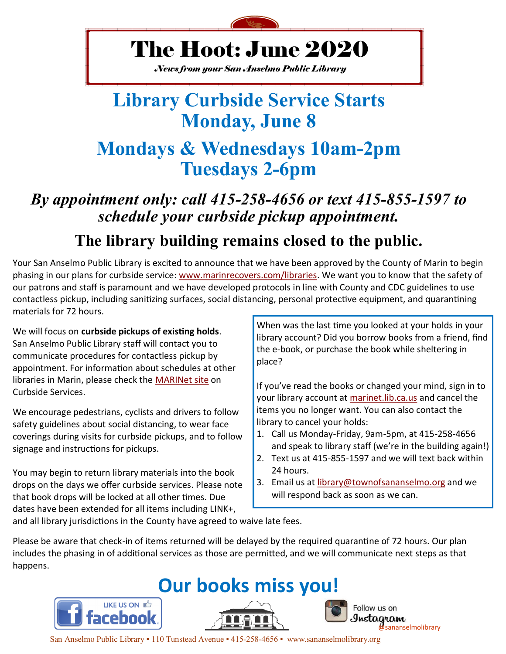

## The Hoot: June 2020

*News from your San Anselmo Public Library*

### **Library Curbside Service Starts Monday, June 8 Mondays & Wednesdays 10am-2pm Tuesdays 2-6pm**

### *By appointment only: call 415-258-4656 or text 415-855-1597 to schedule your curbside pickup appointment.* **The library building remains closed to the public.**

Your San Anselmo Public Library is excited to announce that we have been approved by the County of Marin to begin phasing in our plans for curbside service: [www.marinrecovers.com/libraries.](https://marinrecovers.com/libraries) We want you to know that the safety of our patrons and staff is paramount and we have developed protocols in line with County and CDC guidelines to use contactless pickup, including sanitizing surfaces, social distancing, personal protective equipment, and quarantining materials for 72 hours.

We will focus on **curbside pickups of existing holds**. San Anselmo Public Library staff will contact you to communicate procedures for contactless pickup by appointment. For information about schedules at other libraries in Marin, please check the [MARINet site](https://marinet.lib.ca.us/screens/libpickup.html) on Curbside Services.

We encourage pedestrians, cyclists and drivers to follow safety guidelines about social distancing, to wear face coverings during visits for curbside pickups, and to follow signage and instructions for pickups.

You may begin to return library materials into the book drops on the days we offer curbside services. Please note that book drops will be locked at all other times. Due dates have been extended for all items including LINK+,

When was the last time you looked at your holds in your library account? Did you borrow books from a friend, find the e-book, or purchase the book while sheltering in place?

If you've read the books or changed your mind, sign in to your library account at [marinet.lib.ca.us](https://marinet.lib.ca.us/) and cancel the items you no longer want. You can also contact the library to cancel your holds:

- 1. Call us Monday-Friday, 9am-5pm, at 415-258-4656 and speak to library staff (we're in the building again!)
- 2. Text us at 415-855-1597 and we will text back within 24 hours.
- 3. Email us at [library@townofsananselmo.org](mailto:library@townofsananselmo.org) and we will respond back as soon as we can.

and all library jurisdictions in the County have agreed to waive late fees.

Please be aware that check-in of items returned will be delayed by the required quarantine of 72 hours. Our plan includes the phasing in of additional services as those are permitted, and we will communicate next steps as that happens.



San Anselmo Public Library ▪ 110 Tunstead Avenue ▪ 415-258-4656 ▪ www.sananselmolibrary.org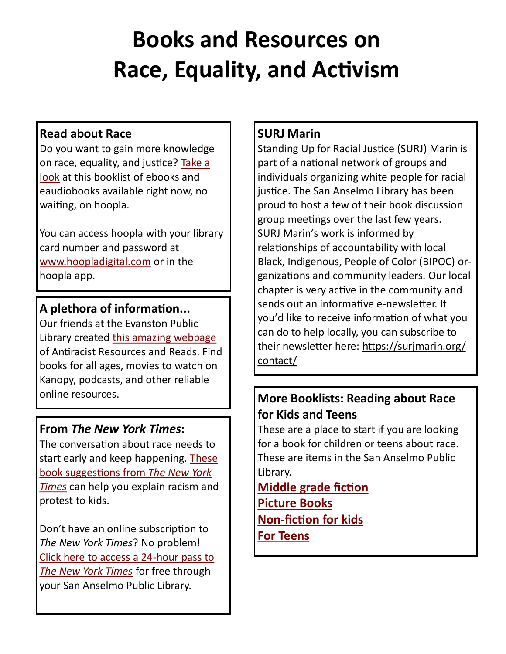# **Books and Resources on Race, Equality, and Activism**

#### **Read about Race**

Do you want to gain more knowledge on race, equality, and justice? [Take a](https://marinet.bibliocommons.com/list/share/639061639_sananselmostaff_serianna/1650708799_reading_about_race_in_hoopla_digital?fbclid=IwAR36sH-peC1atr4MmWx8t0VsMLzliyt-Yb1cTrx5g4pbpOJel7Mj_fO87FM)  [look](https://marinet.bibliocommons.com/list/share/639061639_sananselmostaff_serianna/1650708799_reading_about_race_in_hoopla_digital?fbclid=IwAR36sH-peC1atr4MmWx8t0VsMLzliyt-Yb1cTrx5g4pbpOJel7Mj_fO87FM) at this booklist of ebooks and eaudiobooks available right now, no waiting, on hoopla.

You can access hoopla with your library card number and password at [www.hoopladigital.com](https://www.hoopladigital.com/) or in the hoopla app.

#### **A plethora of information...**

Our friends at the Evanston Public Library created [this amazing webpage](https://www.epl.org/antiracist-resources-and-reads-lists-for-all-ages/?fbclid=IwAR0NrAoLJSRVTFlIAgpqvSfIKFKLgrjfZcSbJ0Zmbn8tgyT4TCIk6m8R6Kg) of Antiracist Resources and Reads. Find books for all ages, movies to watch on Kanopy, podcasts, and other reliable online resources.

#### **From** *The New York Times***:**

The conversation about race needs to start early and keep happening. [These](https://www.nytimes.com/2020/06/02/parenting/kids-books-racism-protest.html?fbclid=IwAR1qbD_6XTsUkuqIBw02m16lZHPBm_CNEVttUKSy34EDalYk6G_zqKqJE_I)  [book suggestions from](https://www.nytimes.com/2020/06/02/parenting/kids-books-racism-protest.html?fbclid=IwAR1qbD_6XTsUkuqIBw02m16lZHPBm_CNEVttUKSy34EDalYk6G_zqKqJE_I) *The New York [Times](https://www.nytimes.com/2020/06/02/parenting/kids-books-racism-protest.html?fbclid=IwAR1qbD_6XTsUkuqIBw02m16lZHPBm_CNEVttUKSy34EDalYk6G_zqKqJE_I)* can help you explain racism and protest to kids.

Don't have an online subscription to *The New York Times*? No problem! [Click here to access a 24](https://www.townofsananselmo.org/1063/The-New-York-Times)-hour pass to *[The New York Times](https://www.townofsananselmo.org/1063/The-New-York-Times)* for free through your San Anselmo Public Library.

#### **SURJ Marin**

Standing Up for Racial Justice (SURJ) Marin is part of a national network of groups and individuals organizing white people for racial justice. The San Anselmo Library has been proud to host a few of their book discussion group meetings over the last few years. SURJ Marin's work is informed by relationships of accountability with local Black, Indigenous, People of Color (BIPOC) organizations and community leaders. Our local chapter is very active in the community and sends out an informative e-newsletter. If you'd like to receive information of what you can do to help locally, you can subscribe to their newsletter here: [https://surjmarin.org/](https://surjmarin.org/contact/) [contact/](https://surjmarin.org/contact/)

#### **More Booklists: Reading about Race for Kids and Teens**

These are a place to start if you are looking for a book for children or teens about race. These are items in the San Anselmo Public Library.

**[Middle grade fiction](https://marinet.bibliocommons.com/list/share/639060778_sananselmostaff_kids/1653544199_for_kids_reading_about_race)  [Picture Books](https://marinet.bibliocommons.com/list/share/639060778_sananselmostaff_kids/1653553779_for_kids_books_about_race) Non-[fiction for kids](https://marinet.bibliocommons.com/list/share/639060778_sananselmostaff_kids/1653550289_for_kids_books_about_race) [For Teens](https://marinet.bibliocommons.com/list/share/639060778_sananselmostaff_kids/1653562744_for_teens_books_about_race)**